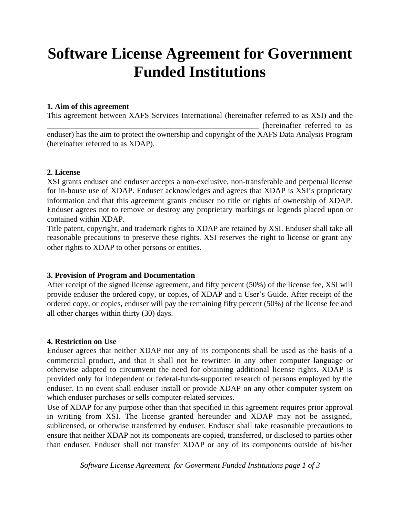# **Software License Agreement for Government Funded Institutions**

#### **1. Aim of this agreement**

This agreement between XAFS Services International (hereinafter referred to as XSI) and the (hereinafter referred to as enduser) has the aim to protect the ownership and copyright of the XAFS Data Analysis Program (hereinafter referred to as XDAP).

#### **2. License**

XSI grants enduser and enduser accepts a non-exclusive, non-transferable and perpetual license for in-house use of XDAP. Enduser acknowledges and agrees that XDAP is XSI's proprietary information and that this agreement grants enduser no title or rights of ownership of XDAP. Enduser agrees not to remove or destroy any proprietary markings or legends placed upon or contained within XDAP.

Title patent, copyright, and trademark rights to XDAP are retained by XSI. Enduser shall take all reasonable precautions to preserve these rights. XSI reserves the right to license or grant any other rights to XDAP to other persons or entities.

#### **3. Provision of Program and Documentation**

After receipt of the signed license agreement, and fifty percent (50%) of the license fee, XSI will provide enduser the ordered copy, or copies, of XDAP and a User's Guide. After receipt of the ordered copy, or copies, enduser will pay the remaining fifty percent (50%) of the license fee and all other charges within thirty (30) days.

#### **4. Restriction on Use**

Enduser agrees that neither XDAP nor any of its components shall be used as the basis of a commercial product, and that it shall not be rewritten in any other computer language or otherwise adapted to circumvent the need for obtaining additional license rights. XDAP is provided only for independent or federal-funds-supported research of persons employed by the enduser. In no event shall enduser install or provide XDAP on any other computer system on which enduser purchases or sells computer-related services.

Use of XDAP for any purpose other than that specified in this agreement requires prior approval in writing from XSI. The license granted hereunder and XDAP may not be assigned, sublicensed, or otherwise transferred by enduser. Enduser shall take reasonable precautions to ensure that neither XDAP not its components are copied, transferred, or disclosed to parties other than enduser. Enduser shall not transfer XDAP or any of its components outside of his/her

*Software License Agreement for Goverment Funded Institutions page 1 of 3*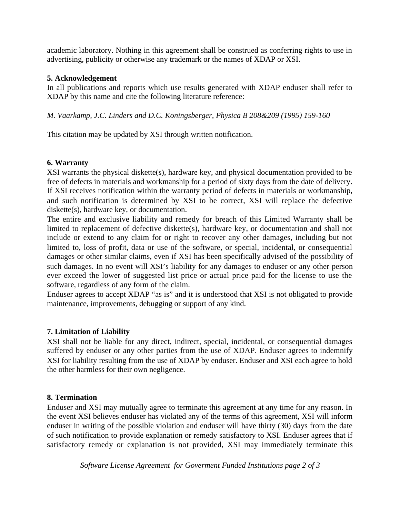academic laboratory. Nothing in this agreement shall be construed as conferring rights to use in advertising, publicity or otherwise any trademark or the names of XDAP or XSI.

## **5. Acknowledgement**

In all publications and reports which use results generated with XDAP enduser shall refer to XDAP by this name and cite the following literature reference:

*M. Vaarkamp, J.C. Linders and D.C. Koningsberger, Physica B 208&209 (1995) 159-160*

This citation may be updated by XSI through written notification.

# **6. Warranty**

XSI warrants the physical diskette(s), hardware key, and physical documentation provided to be free of defects in materials and workmanship for a period of sixty days from the date of delivery. If XSI receives notification within the warranty period of defects in materials or workmanship, and such notification is determined by XSI to be correct, XSI will replace the defective diskette(s), hardware key, or documentation.

The entire and exclusive liability and remedy for breach of this Limited Warranty shall be limited to replacement of defective diskette(s), hardware key, or documentation and shall not include or extend to any claim for or right to recover any other damages, including but not limited to, loss of profit, data or use of the software, or special, incidental, or consequential damages or other similar claims, even if XSI has been specifically advised of the possibility of such damages. In no event will XSI's liability for any damages to enduser or any other person ever exceed the lower of suggested list price or actual price paid for the license to use the software, regardless of any form of the claim.

Enduser agrees to accept XDAP "as is" and it is understood that XSI is not obligated to provide maintenance, improvements, debugging or support of any kind.

# **7. Limitation of Liability**

XSI shall not be liable for any direct, indirect, special, incidental, or consequential damages suffered by enduser or any other parties from the use of XDAP. Enduser agrees to indemnify XSI for liability resulting from the use of XDAP by enduser. Enduser and XSI each agree to hold the other harmless for their own negligence.

### **8. Termination**

Enduser and XSI may mutually agree to terminate this agreement at any time for any reason. In the event XSI believes enduser has violated any of the terms of this agreement, XSI will inform enduser in writing of the possible violation and enduser will have thirty (30) days from the date of such notification to provide explanation or remedy satisfactory to XSI. Enduser agrees that if satisfactory remedy or explanation is not provided, XSI may immediately terminate this

*Software License Agreement for Goverment Funded Institutions page 2 of 3*